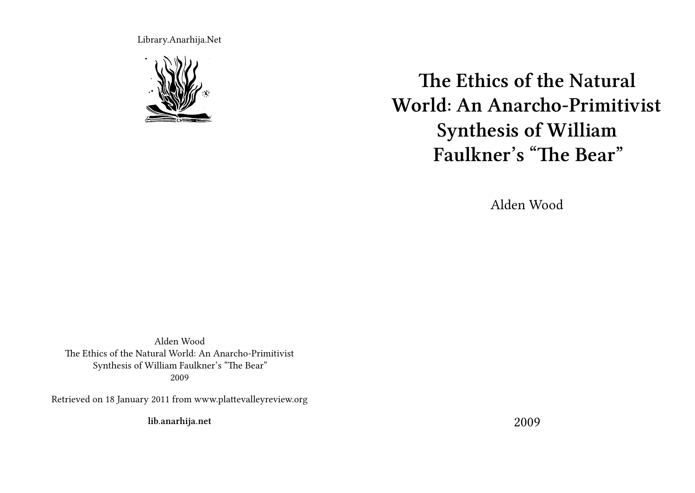Library.Anarhija.Net



**The Ethics of the Natural World: An Anarcho-Primitivist Synthesis of William Faulkner's "The Bear"**

Alden Wood

Alden Wood The Ethics of the Natural World: An Anarcho-Primitivist Synthesis of William Faulkner's "The Bear" 2009

Retrieved on 18 January 2011 from www.plattevalleyreview.org

**lib.anarhija.net**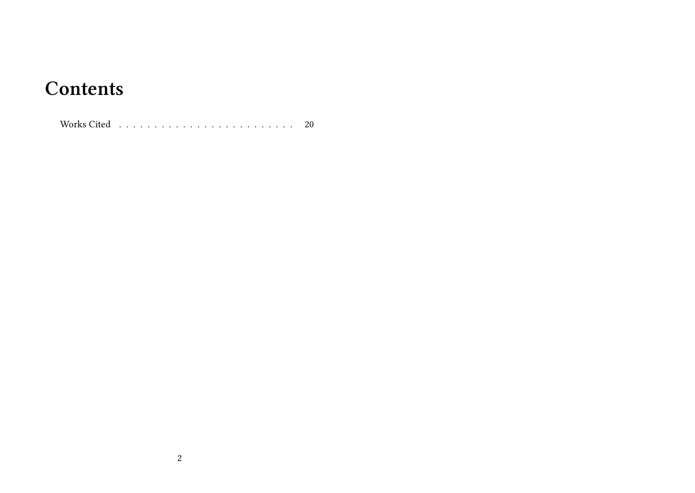## **Contents**

Works Cited . . . . . . . . . . . . . . . . . . . . . . . . . 20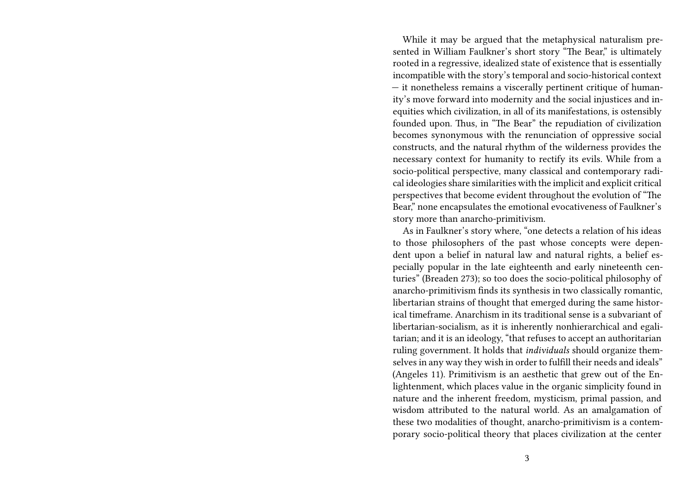While it may be argued that the metaphysical naturalism presented in William Faulkner's short story "The Bear," is ultimately rooted in a regressive, idealized state of existence that is essentially incompatible with the story's temporal and socio-historical context — it nonetheless remains a viscerally pertinent critique of humanity's move forward into modernity and the social injustices and inequities which civilization, in all of its manifestations, is ostensibly founded upon. Thus, in "The Bear" the repudiation of civilization becomes synonymous with the renunciation of oppressive social constructs, and the natural rhythm of the wilderness provides the necessary context for humanity to rectify its evils. While from a socio-political perspective, many classical and contemporary radical ideologies share similarities with the implicit and explicit critical perspectives that become evident throughout the evolution of "The Bear," none encapsulates the emotional evocativeness of Faulkner's story more than anarcho-primitivism.

As in Faulkner's story where, "one detects a relation of his ideas to those philosophers of the past whose concepts were dependent upon a belief in natural law and natural rights, a belief especially popular in the late eighteenth and early nineteenth centuries" (Breaden 273); so too does the socio-political philosophy of anarcho-primitivism finds its synthesis in two classically romantic, libertarian strains of thought that emerged during the same historical timeframe. Anarchism in its traditional sense is a subvariant of libertarian-socialism, as it is inherently nonhierarchical and egalitarian; and it is an ideology, "that refuses to accept an authoritarian ruling government. It holds that *individuals* should organize themselves in any way they wish in order to fulfill their needs and ideals" (Angeles 11). Primitivism is an aesthetic that grew out of the Enlightenment, which places value in the organic simplicity found in nature and the inherent freedom, mysticism, primal passion, and wisdom attributed to the natural world. As an amalgamation of these two modalities of thought, anarcho-primitivism is a contemporary socio-political theory that places civilization at the center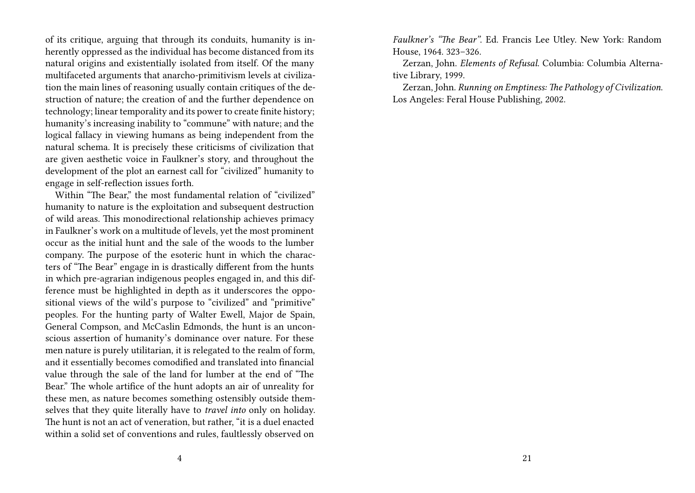of its critique, arguing that through its conduits, humanity is inherently oppressed as the individual has become distanced from its natural origins and existentially isolated from itself. Of the many multifaceted arguments that anarcho-primitivism levels at civilization the main lines of reasoning usually contain critiques of the destruction of nature; the creation of and the further dependence on technology; linear temporality and its power to create finite history; humanity's increasing inability to "commune" with nature; and the logical fallacy in viewing humans as being independent from the natural schema. It is precisely these criticisms of civilization that are given aesthetic voice in Faulkner's story, and throughout the development of the plot an earnest call for "civilized" humanity to engage in self-reflection issues forth.

Within "The Bear," the most fundamental relation of "civilized" humanity to nature is the exploitation and subsequent destruction of wild areas. This monodirectional relationship achieves primacy in Faulkner's work on a multitude of levels, yet the most prominent occur as the initial hunt and the sale of the woods to the lumber company. The purpose of the esoteric hunt in which the characters of "The Bear" engage in is drastically different from the hunts in which pre-agrarian indigenous peoples engaged in, and this difference must be highlighted in depth as it underscores the oppositional views of the wild's purpose to "civilized" and "primitive" peoples. For the hunting party of Walter Ewell, Major de Spain, General Compson, and McCaslin Edmonds, the hunt is an unconscious assertion of humanity's dominance over nature. For these men nature is purely utilitarian, it is relegated to the realm of form, and it essentially becomes comodified and translated into financial value through the sale of the land for lumber at the end of "The Bear." The whole artifice of the hunt adopts an air of unreality for these men, as nature becomes something ostensibly outside themselves that they quite literally have to *travel into* only on holiday. The hunt is not an act of veneration, but rather, "it is a duel enacted within a solid set of conventions and rules, faultlessly observed on

*Faulkner's "The Bear"*. Ed. Francis Lee Utley. New York: Random House, 1964. 323–326.

Zerzan, John. *Elements of Refusal*. Columbia: Columbia Alternative Library, 1999.

Zerzan, John. *Running on Emptiness: The Pathology of Civilization*. Los Angeles: Feral House Publishing, 2002.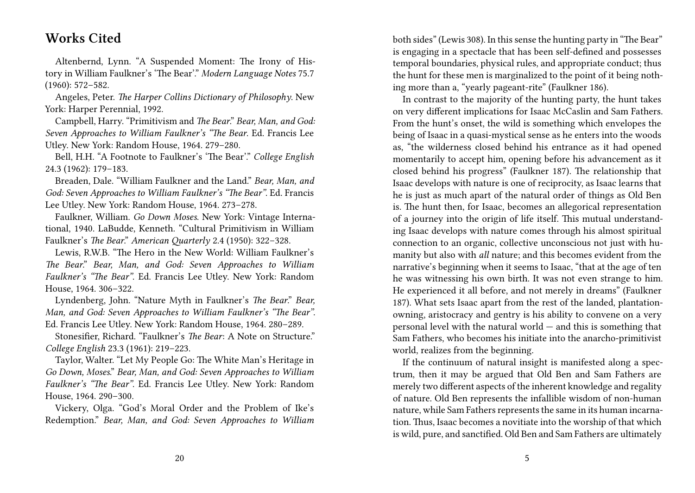## **Works Cited**

Altenbernd, Lynn. "A Suspended Moment: The Irony of History in William Faulkner's 'The Bear'." *Modern Language Notes* 75.7 (1960): 572–582.

Angeles, Peter. *The Harper Collins Dictionary of Philosophy*. New York: Harper Perennial, 1992.

Campbell, Harry. "Primitivism and *The Bear*." *Bear, Man, and God: Seven Approaches to William Faulkner's "The Bear*. Ed. Francis Lee Utley. New York: Random House, 1964. 279–280.

Bell, H.H. "A Footnote to Faulkner's 'The Bear'." *College English* 24.3 (1962): 179–183.

Breaden, Dale. "William Faulkner and the Land." *Bear, Man, and God: Seven Approaches to William Faulkner's "The Bear"*. Ed. Francis Lee Utley. New York: Random House, 1964. 273–278.

Faulkner, William. *Go Down Moses*. New York: Vintage International, 1940. LaBudde, Kenneth. "Cultural Primitivism in William Faulkner's *The Bear*." *American Quarterly* 2.4 (1950): 322–328.

Lewis, R.W.B. "The Hero in the New World: William Faulkner's *The Bear*." *Bear, Man, and God: Seven Approaches to William Faulkner's "The Bear"*. Ed. Francis Lee Utley. New York: Random House, 1964. 306–322.

Lyndenberg, John. "Nature Myth in Faulkner's *The Bear*." *Bear, Man, and God: Seven Approaches to William Faulkner's "The Bear"*. Ed. Francis Lee Utley. New York: Random House, 1964. 280–289.

Stonesifier, Richard. "Faulkner's *The Bear*: A Note on Structure." *College English* 23.3 (1961): 219–223.

Taylor, Walter. "Let My People Go: The White Man's Heritage in *Go Down, Moses*." *Bear, Man, and God: Seven Approaches to William Faulkner's "The Bear"*. Ed. Francis Lee Utley. New York: Random House, 1964. 290–300.

Vickery, Olga. "God's Moral Order and the Problem of Ike's Redemption." *Bear, Man, and God: Seven Approaches to William* both sides" (Lewis 308). In this sense the hunting party in "The Bear" is engaging in a spectacle that has been self-defined and possesses temporal boundaries, physical rules, and appropriate conduct; thus the hunt for these men is marginalized to the point of it being nothing more than a, "yearly pageant-rite" (Faulkner 186).

In contrast to the majority of the hunting party, the hunt takes on very different implications for Isaac McCaslin and Sam Fathers. From the hunt's onset, the wild is something which envelopes the being of Isaac in a quasi-mystical sense as he enters into the woods as, "the wilderness closed behind his entrance as it had opened momentarily to accept him, opening before his advancement as it closed behind his progress" (Faulkner 187). The relationship that Isaac develops with nature is one of reciprocity, as Isaac learns that he is just as much apart of the natural order of things as Old Ben is. The hunt then, for Isaac, becomes an allegorical representation of a journey into the origin of life itself. This mutual understanding Isaac develops with nature comes through his almost spiritual connection to an organic, collective unconscious not just with humanity but also with *all* nature; and this becomes evident from the narrative's beginning when it seems to Isaac, "that at the age of ten he was witnessing his own birth. It was not even strange to him. He experienced it all before, and not merely in dreams" (Faulkner 187). What sets Isaac apart from the rest of the landed, plantationowning, aristocracy and gentry is his ability to convene on a very personal level with the natural world — and this is something that Sam Fathers, who becomes his initiate into the anarcho-primitivist world, realizes from the beginning.

If the continuum of natural insight is manifested along a spectrum, then it may be argued that Old Ben and Sam Fathers are merely two different aspects of the inherent knowledge and regality of nature. Old Ben represents the infallible wisdom of non-human nature, while Sam Fathers represents the same in its human incarnation. Thus, Isaac becomes a novitiate into the worship of that which is wild, pure, and sanctified. Old Ben and Sam Fathers are ultimately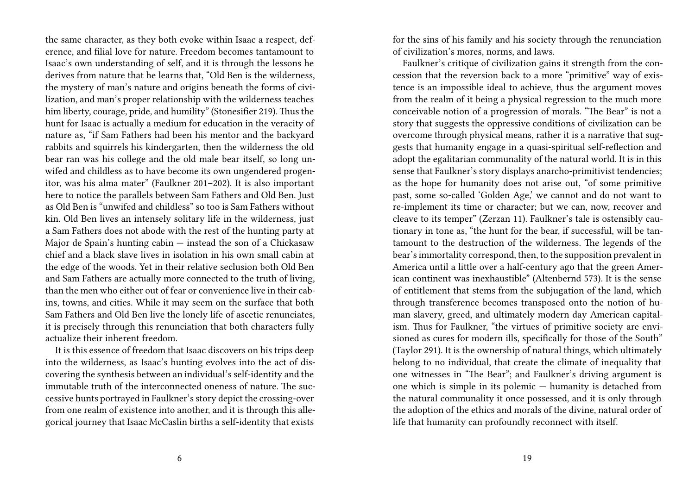the same character, as they both evoke within Isaac a respect, deference, and filial love for nature. Freedom becomes tantamount to Isaac's own understanding of self, and it is through the lessons he derives from nature that he learns that, "Old Ben is the wilderness, the mystery of man's nature and origins beneath the forms of civilization, and man's proper relationship with the wilderness teaches him liberty, courage, pride, and humility" (Stonesifier 219). Thus the hunt for Isaac is actually a medium for education in the veracity of nature as, "if Sam Fathers had been his mentor and the backyard rabbits and squirrels his kindergarten, then the wilderness the old bear ran was his college and the old male bear itself, so long unwifed and childless as to have become its own ungendered progenitor, was his alma mater" (Faulkner 201–202). It is also important here to notice the parallels between Sam Fathers and Old Ben. Just as Old Ben is "unwifed and childless" so too is Sam Fathers without kin. Old Ben lives an intensely solitary life in the wilderness, just a Sam Fathers does not abode with the rest of the hunting party at Major de Spain's hunting cabin — instead the son of a Chickasaw chief and a black slave lives in isolation in his own small cabin at the edge of the woods. Yet in their relative seclusion both Old Ben and Sam Fathers are actually more connected to the truth of living, than the men who either out of fear or convenience live in their cabins, towns, and cities. While it may seem on the surface that both Sam Fathers and Old Ben live the lonely life of ascetic renunciates, it is precisely through this renunciation that both characters fully actualize their inherent freedom.

It is this essence of freedom that Isaac discovers on his trips deep into the wilderness, as Isaac's hunting evolves into the act of discovering the synthesis between an individual's self-identity and the immutable truth of the interconnected oneness of nature. The successive hunts portrayed in Faulkner's story depict the crossing-over from one realm of existence into another, and it is through this allegorical journey that Isaac McCaslin births a self-identity that exists

for the sins of his family and his society through the renunciation of civilization's mores, norms, and laws.

Faulkner's critique of civilization gains it strength from the concession that the reversion back to a more "primitive" way of existence is an impossible ideal to achieve, thus the argument moves from the realm of it being a physical regression to the much more conceivable notion of a progression of morals. "The Bear" is not a story that suggests the oppressive conditions of civilization can be overcome through physical means, rather it is a narrative that suggests that humanity engage in a quasi-spiritual self-reflection and adopt the egalitarian communality of the natural world. It is in this sense that Faulkner's story displays anarcho-primitivist tendencies; as the hope for humanity does not arise out, "of some primitive past, some so-called 'Golden Age,' we cannot and do not want to re-implement its time or character; but we can, now, recover and cleave to its temper" (Zerzan 11). Faulkner's tale is ostensibly cautionary in tone as, "the hunt for the bear, if successful, will be tantamount to the destruction of the wilderness. The legends of the bear's immortality correspond, then, to the supposition prevalent in America until a little over a half-century ago that the green American continent was inexhaustible" (Altenbernd 573). It is the sense of entitlement that stems from the subjugation of the land, which through transference becomes transposed onto the notion of human slavery, greed, and ultimately modern day American capitalism. Thus for Faulkner, "the virtues of primitive society are envisioned as cures for modern ills, specifically for those of the South" (Taylor 291). It is the ownership of natural things, which ultimately belong to no individual, that create the climate of inequality that one witnesses in "The Bear"; and Faulkner's driving argument is one which is simple in its polemic — humanity is detached from the natural communality it once possessed, and it is only through the adoption of the ethics and morals of the divine, natural order of life that humanity can profoundly reconnect with itself.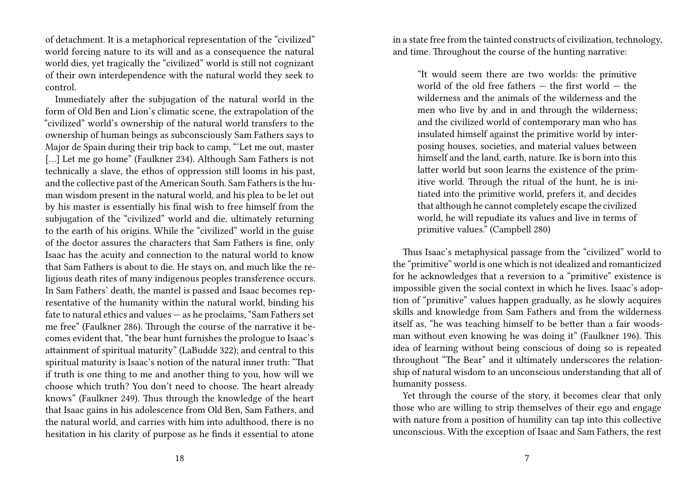of detachment. It is a metaphorical representation of the "civilized" world forcing nature to its will and as a consequence the natural world dies, yet tragically the "civilized" world is still not cognizant of their own interdependence with the natural world they seek to control.

Immediately after the subjugation of the natural world in the form of Old Ben and Lion's climatic scene, the extrapolation of the "civilized" world's ownership of the natural world transfers to the ownership of human beings as subconsciously Sam Fathers says to Major de Spain during their trip back to camp, "'Let me out, master [...] Let me go home" (Faulkner 234). Although Sam Fathers is not technically a slave, the ethos of oppression still looms in his past, and the collective past of the American South. Sam Fathers is the human wisdom present in the natural world, and his plea to be let out by his master is essentially his final wish to free himself from the subjugation of the "civilized" world and die, ultimately returning to the earth of his origins. While the "civilized" world in the guise of the doctor assures the characters that Sam Fathers is fine, only Isaac has the acuity and connection to the natural world to know that Sam Fathers is about to die. He stays on, and much like the religious death rites of many indigenous peoples transference occurs. In Sam Fathers' death, the mantel is passed and Isaac becomes representative of the humanity within the natural world, binding his fate to natural ethics and values — as he proclaims, "Sam Fathers set me free" (Faulkner 286). Through the course of the narrative it becomes evident that, "the bear hunt furnishes the prologue to Isaac's attainment of spiritual maturity" (LaBudde 322); and central to this spiritual maturity is Isaac's notion of the natural inner truth: "That if truth is one thing to me and another thing to you, how will we choose which truth? You don't need to choose. The heart already knows" (Faulkner 249). Thus through the knowledge of the heart that Isaac gains in his adolescence from Old Ben, Sam Fathers, and the natural world, and carries with him into adulthood, there is no hesitation in his clarity of purpose as he finds it essential to atone

in a state free from the tainted constructs of civilization, technology, and time. Throughout the course of the hunting narrative:

"It would seem there are two worlds: the primitive world of the old free fathers  $-$  the first world  $-$  the wilderness and the animals of the wilderness and the men who live by and in and through the wilderness; and the civilized world of contemporary man who has insulated himself against the primitive world by interposing houses, societies, and material values between himself and the land, earth, nature. Ike is born into this latter world but soon learns the existence of the primitive world. Through the ritual of the hunt, he is initiated into the primitive world, prefers it, and decides that although he cannot completely escape the civilized world, he will repudiate its values and live in terms of primitive values." (Campbell 280)

Thus Isaac's metaphysical passage from the "civilized" world to the "primitive" world is one which is not idealized and romanticized for he acknowledges that a reversion to a "primitive" existence is impossible given the social context in which he lives. Isaac's adoption of "primitive" values happen gradually, as he slowly acquires skills and knowledge from Sam Fathers and from the wilderness itself as, "he was teaching himself to be better than a fair woodsman without even knowing he was doing it" (Faulkner 196). This idea of learning without being conscious of doing so is repeated throughout "The Bear" and it ultimately underscores the relationship of natural wisdom to an unconscious understanding that all of humanity possess.

Yet through the course of the story, it becomes clear that only those who are willing to strip themselves of their ego and engage with nature from a position of humility can tap into this collective unconscious. With the exception of Isaac and Sam Fathers, the rest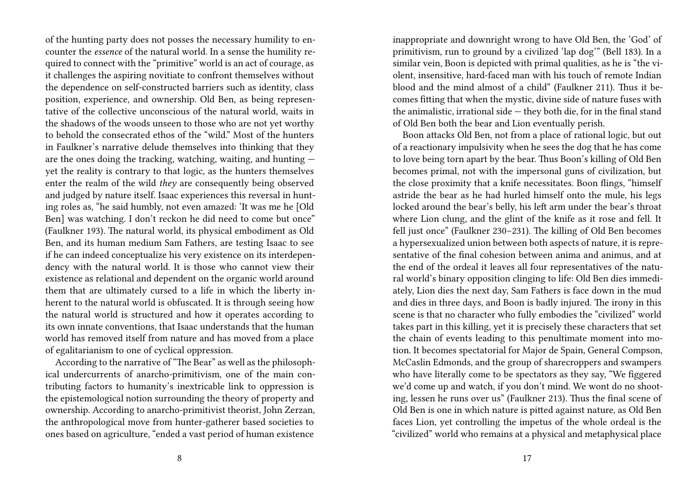of the hunting party does not posses the necessary humility to encounter the *essence* of the natural world. In a sense the humility required to connect with the "primitive" world is an act of courage, as it challenges the aspiring novitiate to confront themselves without the dependence on self-constructed barriers such as identity, class position, experience, and ownership. Old Ben, as being representative of the collective unconscious of the natural world, waits in the shadows of the woods unseen to those who are not yet worthy to behold the consecrated ethos of the "wild." Most of the hunters in Faulkner's narrative delude themselves into thinking that they are the ones doing the tracking, watching, waiting, and hunting yet the reality is contrary to that logic, as the hunters themselves enter the realm of the wild *they* are consequently being observed and judged by nature itself. Isaac experiences this reversal in hunting roles as, "he said humbly, not even amazed: 'It was me he [Old Ben] was watching. I don't reckon he did need to come but once" (Faulkner 193). The natural world, its physical embodiment as Old Ben, and its human medium Sam Fathers, are testing Isaac to see if he can indeed conceptualize his very existence on its interdependency with the natural world. It is those who cannot view their existence as relational and dependent on the organic world around them that are ultimately cursed to a life in which the liberty inherent to the natural world is obfuscated. It is through seeing how the natural world is structured and how it operates according to its own innate conventions, that Isaac understands that the human world has removed itself from nature and has moved from a place of egalitarianism to one of cyclical oppression.

According to the narrative of "The Bear" as well as the philosophical undercurrents of anarcho-primitivism, one of the main contributing factors to humanity's inextricable link to oppression is the epistemological notion surrounding the theory of property and ownership. According to anarcho-primitivist theorist, John Zerzan, the anthropological move from hunter-gatherer based societies to ones based on agriculture, "ended a vast period of human existence

inappropriate and downright wrong to have Old Ben, the 'God' of primitivism, run to ground by a civilized 'lap dog'" (Bell 183). In a similar vein, Boon is depicted with primal qualities, as he is "the violent, insensitive, hard-faced man with his touch of remote Indian blood and the mind almost of a child" (Faulkner 211). Thus it becomes fitting that when the mystic, divine side of nature fuses with the animalistic, irrational side — they both die, for in the final stand of Old Ben both the bear and Lion eventually perish.

Boon attacks Old Ben, not from a place of rational logic, but out of a reactionary impulsivity when he sees the dog that he has come to love being torn apart by the bear. Thus Boon's killing of Old Ben becomes primal, not with the impersonal guns of civilization, but the close proximity that a knife necessitates. Boon flings, "himself astride the bear as he had hurled himself onto the mule, his legs locked around the bear's belly, his left arm under the bear's throat where Lion clung, and the glint of the knife as it rose and fell. It fell just once" (Faulkner 230–231). The killing of Old Ben becomes a hypersexualized union between both aspects of nature, it is representative of the final cohesion between anima and animus, and at the end of the ordeal it leaves all four representatives of the natural world's binary opposition clinging to life: Old Ben dies immediately, Lion dies the next day, Sam Fathers is face down in the mud and dies in three days, and Boon is badly injured. The irony in this scene is that no character who fully embodies the "civilized" world takes part in this killing, yet it is precisely these characters that set the chain of events leading to this penultimate moment into motion. It becomes spectatorial for Major de Spain, General Compson, McCaslin Edmonds, and the group of sharecroppers and swampers who have literally come to be spectators as they say, "We figgered we'd come up and watch, if you don't mind. We wont do no shooting, lessen he runs over us" (Faulkner 213). Thus the final scene of Old Ben is one in which nature is pitted against nature, as Old Ben faces Lion, yet controlling the impetus of the whole ordeal is the "civilized" world who remains at a physical and metaphysical place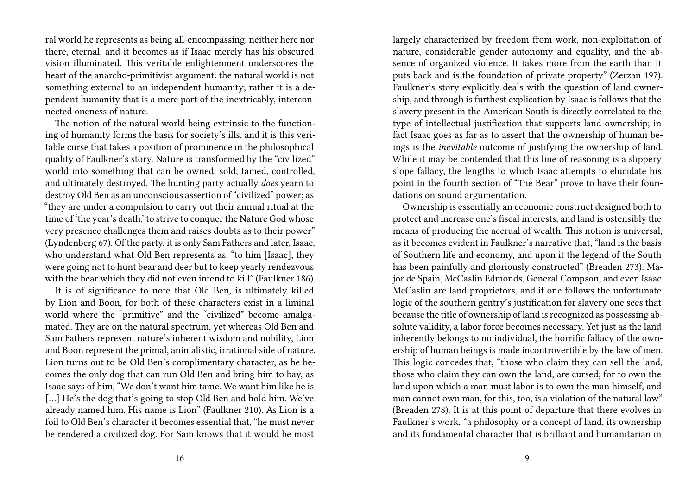ral world he represents as being all-encompassing, neither here nor there, eternal; and it becomes as if Isaac merely has his obscured vision illuminated. This veritable enlightenment underscores the heart of the anarcho-primitivist argument: the natural world is not something external to an independent humanity; rather it is a dependent humanity that is a mere part of the inextricably, interconnected oneness of nature.

The notion of the natural world being extrinsic to the functioning of humanity forms the basis for society's ills, and it is this veritable curse that takes a position of prominence in the philosophical quality of Faulkner's story. Nature is transformed by the "civilized" world into something that can be owned, sold, tamed, controlled, and ultimately destroyed. The hunting party actually *does* yearn to destroy Old Ben as an unconscious assertion of "civilized" power; as "they are under a compulsion to carry out their annual ritual at the time of 'the year's death,' to strive to conquer the Nature God whose very presence challenges them and raises doubts as to their power" (Lyndenberg 67). Of the party, it is only Sam Fathers and later, Isaac, who understand what Old Ben represents as, "to him [Isaac], they were going not to hunt bear and deer but to keep yearly rendezvous with the bear which they did not even intend to kill" (Faulkner 186).

It is of significance to note that Old Ben, is ultimately killed by Lion and Boon, for both of these characters exist in a liminal world where the "primitive" and the "civilized" become amalgamated. They are on the natural spectrum, yet whereas Old Ben and Sam Fathers represent nature's inherent wisdom and nobility, Lion and Boon represent the primal, animalistic, irrational side of nature. Lion turns out to be Old Ben's complimentary character, as he becomes the only dog that can run Old Ben and bring him to bay, as Isaac says of him, "We don't want him tame. We want him like he is [...] He's the dog that's going to stop Old Ben and hold him. We've already named him. His name is Lion" (Faulkner 210). As Lion is a foil to Old Ben's character it becomes essential that, "he must never be rendered a civilized dog. For Sam knows that it would be most

largely characterized by freedom from work, non-exploitation of nature, considerable gender autonomy and equality, and the absence of organized violence. It takes more from the earth than it puts back and is the foundation of private property" (Zerzan 197). Faulkner's story explicitly deals with the question of land ownership, and through is furthest explication by Isaac is follows that the slavery present in the American South is directly correlated to the type of intellectual justification that supports land ownership; in fact Isaac goes as far as to assert that the ownership of human beings is the *inevitable* outcome of justifying the ownership of land. While it may be contended that this line of reasoning is a slippery slope fallacy, the lengths to which Isaac attempts to elucidate his point in the fourth section of "The Bear" prove to have their foundations on sound argumentation.

Ownership is essentially an economic construct designed both to protect and increase one's fiscal interests, and land is ostensibly the means of producing the accrual of wealth. This notion is universal, as it becomes evident in Faulkner's narrative that, "land is the basis of Southern life and economy, and upon it the legend of the South has been painfully and gloriously constructed" (Breaden 273). Major de Spain, McCaslin Edmonds, General Compson, and even Isaac McCaslin are land proprietors, and if one follows the unfortunate logic of the southern gentry's justification for slavery one sees that because the title of ownership of land is recognized as possessing absolute validity, a labor force becomes necessary. Yet just as the land inherently belongs to no individual, the horrific fallacy of the ownership of human beings is made incontrovertible by the law of men. This logic concedes that, "those who claim they can sell the land, those who claim they can own the land, are cursed; for to own the land upon which a man must labor is to own the man himself, and man cannot own man, for this, too, is a violation of the natural law" (Breaden 278). It is at this point of departure that there evolves in Faulkner's work, "a philosophy or a concept of land, its ownership and its fundamental character that is brilliant and humanitarian in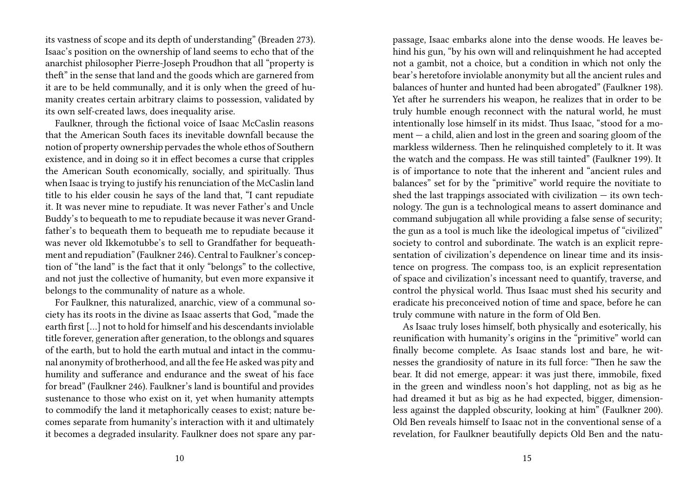its vastness of scope and its depth of understanding" (Breaden 273). Isaac's position on the ownership of land seems to echo that of the anarchist philosopher Pierre-Joseph Proudhon that all "property is theft" in the sense that land and the goods which are garnered from it are to be held communally, and it is only when the greed of humanity creates certain arbitrary claims to possession, validated by its own self-created laws, does inequality arise.

Faulkner, through the fictional voice of Isaac McCaslin reasons that the American South faces its inevitable downfall because the notion of property ownership pervades the whole ethos of Southern existence, and in doing so it in effect becomes a curse that cripples the American South economically, socially, and spiritually. Thus when Isaac is trying to justify his renunciation of the McCaslin land title to his elder cousin he says of the land that, "I cant repudiate it. It was never mine to repudiate. It was never Father's and Uncle Buddy's to bequeath to me to repudiate because it was never Grandfather's to bequeath them to bequeath me to repudiate because it was never old Ikkemotubbe's to sell to Grandfather for bequeathment and repudiation" (Faulkner 246). Central to Faulkner's conception of "the land" is the fact that it only "belongs" to the collective, and not just the collective of humanity, but even more expansive it belongs to the communality of nature as a whole.

For Faulkner, this naturalized, anarchic, view of a communal society has its roots in the divine as Isaac asserts that God, "made the earth first […] not to hold for himself and his descendants inviolable title forever, generation after generation, to the oblongs and squares of the earth, but to hold the earth mutual and intact in the communal anonymity of brotherhood, and all the fee He asked was pity and humility and sufferance and endurance and the sweat of his face for bread" (Faulkner 246). Faulkner's land is bountiful and provides sustenance to those who exist on it, yet when humanity attempts to commodify the land it metaphorically ceases to exist; nature becomes separate from humanity's interaction with it and ultimately it becomes a degraded insularity. Faulkner does not spare any par-

passage, Isaac embarks alone into the dense woods. He leaves behind his gun, "by his own will and relinquishment he had accepted not a gambit, not a choice, but a condition in which not only the bear's heretofore inviolable anonymity but all the ancient rules and balances of hunter and hunted had been abrogated" (Faulkner 198). Yet after he surrenders his weapon, he realizes that in order to be truly humble enough reconnect with the natural world, he must intentionally lose himself in its midst. Thus Isaac, "stood for a moment  $-$  a child, alien and lost in the green and soaring gloom of the markless wilderness. Then he relinquished completely to it. It was the watch and the compass. He was still tainted" (Faulkner 199). It is of importance to note that the inherent and "ancient rules and balances" set for by the "primitive" world require the novitiate to shed the last trappings associated with civilization  $-$  its own technology. The gun is a technological means to assert dominance and command subjugation all while providing a false sense of security; the gun as a tool is much like the ideological impetus of "civilized" society to control and subordinate. The watch is an explicit representation of civilization's dependence on linear time and its insistence on progress. The compass too, is an explicit representation of space and civilization's incessant need to quantify, traverse, and control the physical world. Thus Isaac must shed his security and eradicate his preconceived notion of time and space, before he can truly commune with nature in the form of Old Ben.

As Isaac truly loses himself, both physically and esoterically, his reunification with humanity's origins in the "primitive" world can finally become complete. As Isaac stands lost and bare, he witnesses the grandiosity of nature in its full force: "Then he saw the bear. It did not emerge, appear: it was just there, immobile, fixed in the green and windless noon's hot dappling, not as big as he had dreamed it but as big as he had expected, bigger, dimensionless against the dappled obscurity, looking at him" (Faulkner 200). Old Ben reveals himself to Isaac not in the conventional sense of a revelation, for Faulkner beautifully depicts Old Ben and the natu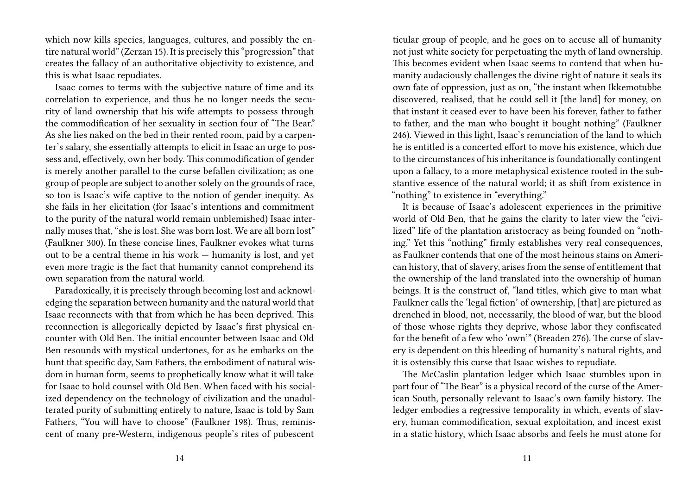which now kills species, languages, cultures, and possibly the entire natural world" (Zerzan 15). It is precisely this "progression" that creates the fallacy of an authoritative objectivity to existence, and this is what Isaac repudiates.

Isaac comes to terms with the subjective nature of time and its correlation to experience, and thus he no longer needs the security of land ownership that his wife attempts to possess through the commodification of her sexuality in section four of "The Bear." As she lies naked on the bed in their rented room, paid by a carpenter's salary, she essentially attempts to elicit in Isaac an urge to possess and, effectively, own her body. This commodification of gender is merely another parallel to the curse befallen civilization; as one group of people are subject to another solely on the grounds of race, so too is Isaac's wife captive to the notion of gender inequity. As she fails in her elicitation (for Isaac's intentions and commitment to the purity of the natural world remain unblemished) Isaac internally muses that, "she is lost. She was born lost. We are all born lost" (Faulkner 300). In these concise lines, Faulkner evokes what turns out to be a central theme in his work — humanity is lost, and yet even more tragic is the fact that humanity cannot comprehend its own separation from the natural world.

Paradoxically, it is precisely through becoming lost and acknowledging the separation between humanity and the natural world that Isaac reconnects with that from which he has been deprived. This reconnection is allegorically depicted by Isaac's first physical encounter with Old Ben. The initial encounter between Isaac and Old Ben resounds with mystical undertones, for as he embarks on the hunt that specific day, Sam Fathers, the embodiment of natural wisdom in human form, seems to prophetically know what it will take for Isaac to hold counsel with Old Ben. When faced with his socialized dependency on the technology of civilization and the unadulterated purity of submitting entirely to nature, Isaac is told by Sam Fathers, "You will have to choose" (Faulkner 198). Thus, reminiscent of many pre-Western, indigenous people's rites of pubescent

ticular group of people, and he goes on to accuse all of humanity not just white society for perpetuating the myth of land ownership. This becomes evident when Isaac seems to contend that when humanity audaciously challenges the divine right of nature it seals its own fate of oppression, just as on, "the instant when Ikkemotubbe discovered, realised, that he could sell it [the land] for money, on that instant it ceased ever to have been his forever, father to father to father, and the man who bought it bought nothing" (Faulkner 246). Viewed in this light, Isaac's renunciation of the land to which he is entitled is a concerted effort to move his existence, which due to the circumstances of his inheritance is foundationally contingent upon a fallacy, to a more metaphysical existence rooted in the substantive essence of the natural world; it as shift from existence in "nothing" to existence in "everything."

It is because of Isaac's adolescent experiences in the primitive world of Old Ben, that he gains the clarity to later view the "civilized" life of the plantation aristocracy as being founded on "nothing." Yet this "nothing" firmly establishes very real consequences, as Faulkner contends that one of the most heinous stains on American history, that of slavery, arises from the sense of entitlement that the ownership of the land translated into the ownership of human beings. It is the construct of, "land titles, which give to man what Faulkner calls the 'legal fiction' of ownership, [that] are pictured as drenched in blood, not, necessarily, the blood of war, but the blood of those whose rights they deprive, whose labor they confiscated for the benefit of a few who 'own'" (Breaden 276). The curse of slavery is dependent on this bleeding of humanity's natural rights, and it is ostensibly this curse that Isaac wishes to repudiate.

The McCaslin plantation ledger which Isaac stumbles upon in part four of "The Bear" is a physical record of the curse of the American South, personally relevant to Isaac's own family history. The ledger embodies a regressive temporality in which, events of slavery, human commodification, sexual exploitation, and incest exist in a static history, which Isaac absorbs and feels he must atone for